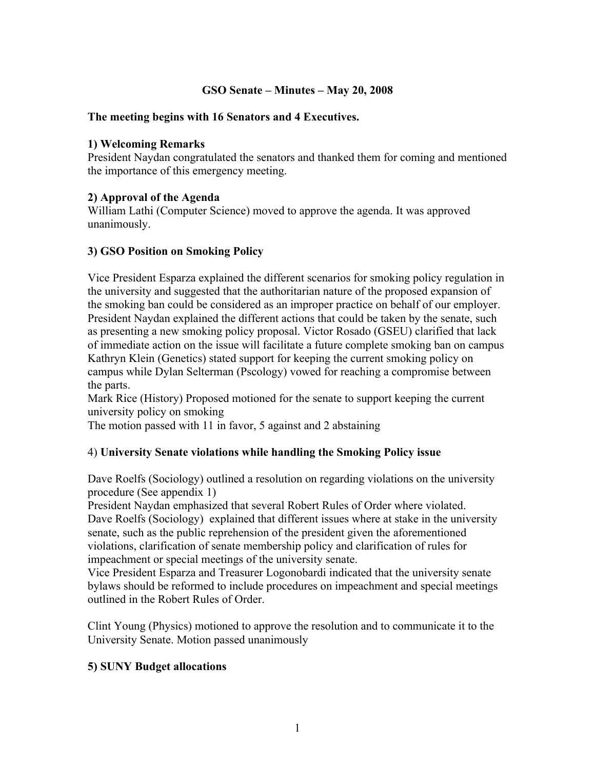# **GSO Senate – Minutes – May 20, 2008**

## **The meeting begins with 16 Senators and 4 Executives.**

### **1) Welcoming Remarks**

President Naydan congratulated the senators and thanked them for coming and mentioned the importance of this emergency meeting.

## **2) Approval of the Agenda**

William Lathi (Computer Science) moved to approve the agenda. It was approved unanimously.

# **3) GSO Position on Smoking Policy**

Vice President Esparza explained the different scenarios for smoking policy regulation in the university and suggested that the authoritarian nature of the proposed expansion of the smoking ban could be considered as an improper practice on behalf of our employer. President Naydan explained the different actions that could be taken by the senate, such as presenting a new smoking policy proposal. Victor Rosado (GSEU) clarified that lack of immediate action on the issue will facilitate a future complete smoking ban on campus Kathryn Klein (Genetics) stated support for keeping the current smoking policy on campus while Dylan Selterman (Pscology) vowed for reaching a compromise between the parts.

Mark Rice (History) Proposed motioned for the senate to support keeping the current university policy on smoking

The motion passed with 11 in favor, 5 against and 2 abstaining

#### 4) **University Senate violations while handling the Smoking Policy issue**

Dave Roelfs (Sociology) outlined a resolution on regarding violations on the university procedure (See appendix 1)

President Naydan emphasized that several Robert Rules of Order where violated. Dave Roelfs (Sociology) explained that different issues where at stake in the university senate, such as the public reprehension of the president given the aforementioned violations, clarification of senate membership policy and clarification of rules for impeachment or special meetings of the university senate.

Vice President Esparza and Treasurer Logonobardi indicated that the university senate bylaws should be reformed to include procedures on impeachment and special meetings outlined in the Robert Rules of Order.

Clint Young (Physics) motioned to approve the resolution and to communicate it to the University Senate. Motion passed unanimously

# **5) SUNY Budget allocations**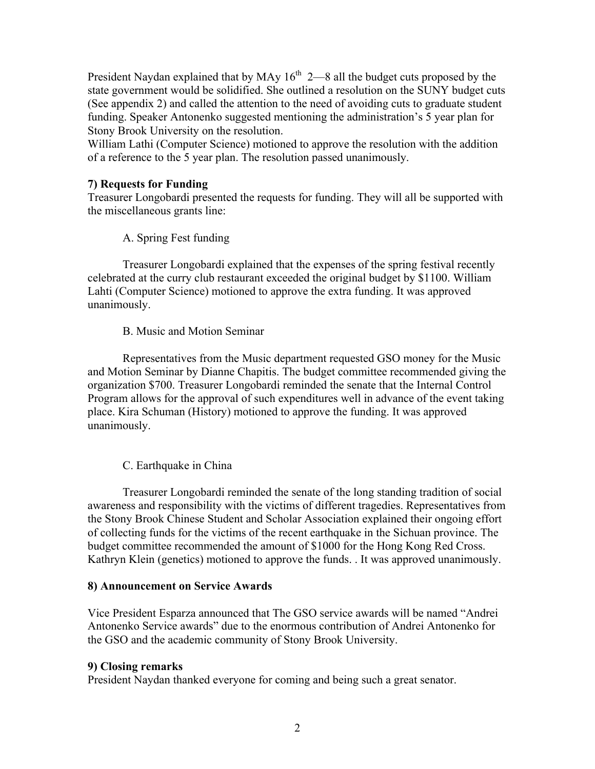President Naydan explained that by MAy  $16<sup>th</sup>$  2—8 all the budget cuts proposed by the state government would be solidified. She outlined a resolution on the SUNY budget cuts (See appendix 2) and called the attention to the need of avoiding cuts to graduate student funding. Speaker Antonenko suggested mentioning the administration's 5 year plan for Stony Brook University on the resolution.

William Lathi (Computer Science) motioned to approve the resolution with the addition of a reference to the 5 year plan. The resolution passed unanimously.

## **7) Requests for Funding**

Treasurer Longobardi presented the requests for funding. They will all be supported with the miscellaneous grants line:

A. Spring Fest funding

Treasurer Longobardi explained that the expenses of the spring festival recently celebrated at the curry club restaurant exceeded the original budget by \$1100. William Lahti (Computer Science) motioned to approve the extra funding. It was approved unanimously.

## B. Music and Motion Seminar

Representatives from the Music department requested GSO money for the Music and Motion Seminar by Dianne Chapitis. The budget committee recommended giving the organization \$700. Treasurer Longobardi reminded the senate that the Internal Control Program allows for the approval of such expenditures well in advance of the event taking place. Kira Schuman (History) motioned to approve the funding. It was approved unanimously.

# C. Earthquake in China

Treasurer Longobardi reminded the senate of the long standing tradition of social awareness and responsibility with the victims of different tragedies. Representatives from the Stony Brook Chinese Student and Scholar Association explained their ongoing effort of collecting funds for the victims of the recent earthquake in the Sichuan province. The budget committee recommended the amount of \$1000 for the Hong Kong Red Cross. Kathryn Klein (genetics) motioned to approve the funds. . It was approved unanimously.

#### **8) Announcement on Service Awards**

Vice President Esparza announced that The GSO service awards will be named "Andrei Antonenko Service awards" due to the enormous contribution of Andrei Antonenko for the GSO and the academic community of Stony Brook University.

#### **9) Closing remarks**

President Naydan thanked everyone for coming and being such a great senator.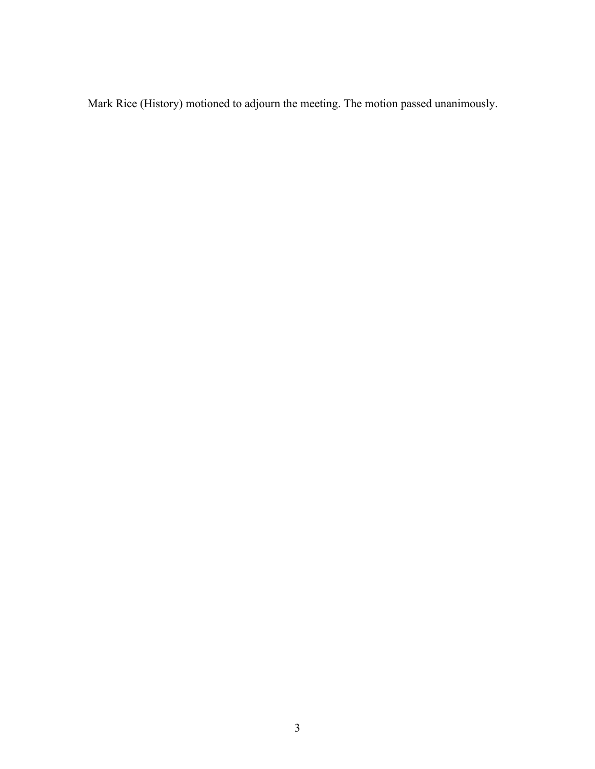Mark Rice (History) motioned to adjourn the meeting. The motion passed unanimously.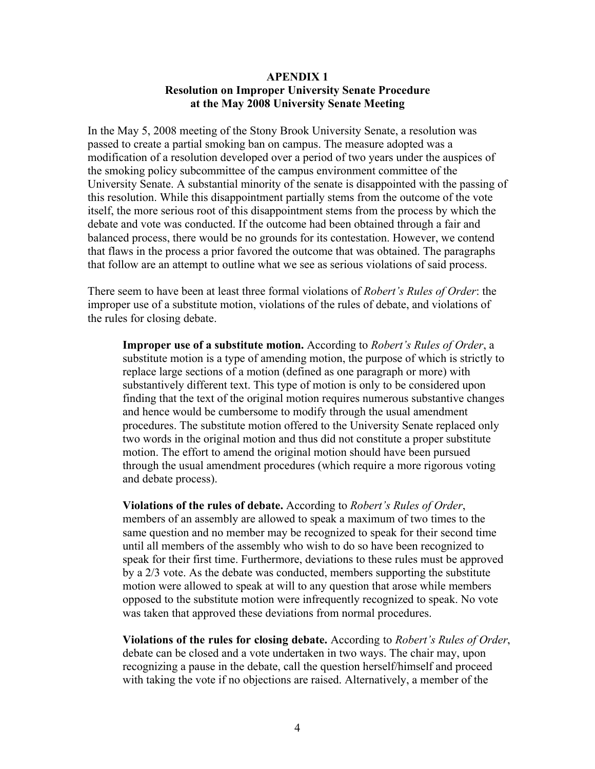### **APENDIX 1 Resolution on Improper University Senate Procedure at the May 2008 University Senate Meeting**

In the May 5, 2008 meeting of the Stony Brook University Senate, a resolution was passed to create a partial smoking ban on campus. The measure adopted was a modification of a resolution developed over a period of two years under the auspices of the smoking policy subcommittee of the campus environment committee of the University Senate. A substantial minority of the senate is disappointed with the passing of this resolution. While this disappointment partially stems from the outcome of the vote itself, the more serious root of this disappointment stems from the process by which the debate and vote was conducted. If the outcome had been obtained through a fair and balanced process, there would be no grounds for its contestation. However, we contend that flaws in the process a prior favored the outcome that was obtained. The paragraphs that follow are an attempt to outline what we see as serious violations of said process.

There seem to have been at least three formal violations of *Robert's Rules of Order*: the improper use of a substitute motion, violations of the rules of debate, and violations of the rules for closing debate.

**Improper use of a substitute motion.** According to *Robert's Rules of Order*, a substitute motion is a type of amending motion, the purpose of which is strictly to replace large sections of a motion (defined as one paragraph or more) with substantively different text. This type of motion is only to be considered upon finding that the text of the original motion requires numerous substantive changes and hence would be cumbersome to modify through the usual amendment procedures. The substitute motion offered to the University Senate replaced only two words in the original motion and thus did not constitute a proper substitute motion. The effort to amend the original motion should have been pursued through the usual amendment procedures (which require a more rigorous voting and debate process).

**Violations of the rules of debate.** According to *Robert's Rules of Order*, members of an assembly are allowed to speak a maximum of two times to the same question and no member may be recognized to speak for their second time until all members of the assembly who wish to do so have been recognized to speak for their first time. Furthermore, deviations to these rules must be approved by a 2/3 vote. As the debate was conducted, members supporting the substitute motion were allowed to speak at will to any question that arose while members opposed to the substitute motion were infrequently recognized to speak. No vote was taken that approved these deviations from normal procedures.

**Violations of the rules for closing debate.** According to *Robert's Rules of Order*, debate can be closed and a vote undertaken in two ways. The chair may, upon recognizing a pause in the debate, call the question herself/himself and proceed with taking the vote if no objections are raised. Alternatively, a member of the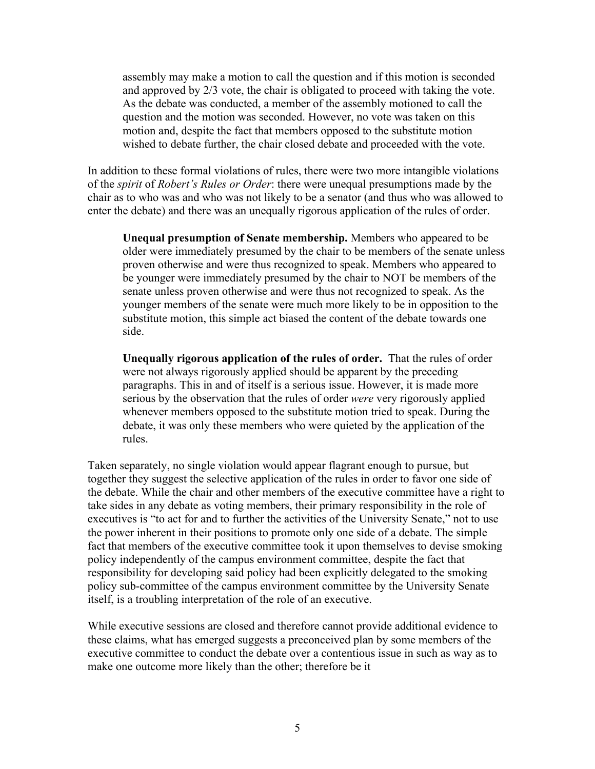assembly may make a motion to call the question and if this motion is seconded and approved by 2/3 vote, the chair is obligated to proceed with taking the vote. As the debate was conducted, a member of the assembly motioned to call the question and the motion was seconded. However, no vote was taken on this motion and, despite the fact that members opposed to the substitute motion wished to debate further, the chair closed debate and proceeded with the vote.

In addition to these formal violations of rules, there were two more intangible violations of the *spirit* of *Robert's Rules or Order*: there were unequal presumptions made by the chair as to who was and who was not likely to be a senator (and thus who was allowed to enter the debate) and there was an unequally rigorous application of the rules of order.

**Unequal presumption of Senate membership.** Members who appeared to be older were immediately presumed by the chair to be members of the senate unless proven otherwise and were thus recognized to speak. Members who appeared to be younger were immediately presumed by the chair to NOT be members of the senate unless proven otherwise and were thus not recognized to speak. As the younger members of the senate were much more likely to be in opposition to the substitute motion, this simple act biased the content of the debate towards one side.

**Unequally rigorous application of the rules of order.** That the rules of order were not always rigorously applied should be apparent by the preceding paragraphs. This in and of itself is a serious issue. However, it is made more serious by the observation that the rules of order *were* very rigorously applied whenever members opposed to the substitute motion tried to speak. During the debate, it was only these members who were quieted by the application of the rules.

Taken separately, no single violation would appear flagrant enough to pursue, but together they suggest the selective application of the rules in order to favor one side of the debate. While the chair and other members of the executive committee have a right to take sides in any debate as voting members, their primary responsibility in the role of executives is "to act for and to further the activities of the University Senate," not to use the power inherent in their positions to promote only one side of a debate. The simple fact that members of the executive committee took it upon themselves to devise smoking policy independently of the campus environment committee, despite the fact that responsibility for developing said policy had been explicitly delegated to the smoking policy sub-committee of the campus environment committee by the University Senate itself, is a troubling interpretation of the role of an executive.

While executive sessions are closed and therefore cannot provide additional evidence to these claims, what has emerged suggests a preconceived plan by some members of the executive committee to conduct the debate over a contentious issue in such as way as to make one outcome more likely than the other; therefore be it